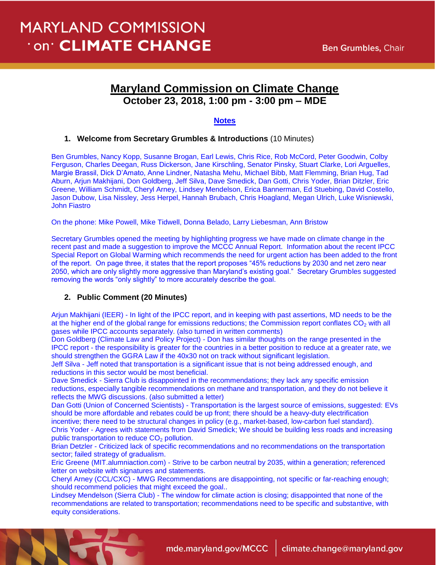# **MARYLAND COMMISSION** 'on' CLIMATE CHANGE

## **Maryland Commission on Climate Change October 23, 2018, 1:00 pm - 3:00 pm – MDE**

### **Notes**

#### **1. Welcome from Secretary Grumbles & Introductions** (10 Minutes)

Ben Grumbles, Nancy Kopp, Susanne Brogan, Earl Lewis, Chris Rice, Rob McCord, Peter Goodwin, Colby Ferguson, Charles Deegan, Russ Dickerson, Jane Kirschling, Senator Pinsky, Stuart Clarke, Lori Arguelles, Margie Brassil, Dick D'Amato, Anne Lindner, Natasha Mehu, Michael Bibb, Matt Flemming, Brian Hug, Tad Aburn, Arjun Makhijani, Don Goldberg, Jeff Silva, Dave Smedick, Dan Gotti, Chris Yoder, Brian Ditzler, Eric Greene, William Schmidt, Cheryl Arney, Lindsey Mendelson, Erica Bannerman, Ed Stuebing, David Costello, Jason Dubow, Lisa Nissley, Jess Herpel, Hannah Brubach, Chris Hoagland, Megan Ulrich, Luke Wisniewski, John Fiastro

On the phone: Mike Powell, Mike Tidwell, Donna Belado, Larry Liebesman, Ann Bristow

Secretary Grumbles opened the meeting by highlighting progress we have made on climate change in the recent past and made a suggestion to improve the MCCC Annual Report. Information about the recent IPCC Special Report on Global Warming which recommends the need for urgent action has been added to the front of the report. On page three, it states that the report proposes "45% reductions by 2030 and net zero near 2050, which are only slightly more aggressive than Maryland's existing goal." Secretary Grumbles suggested removing the words "only slightly" to more accurately describe the goal.

#### **2. Public Comment (20 Minutes)**

Arjun Makhijani (IEER) - In light of the IPCC report, and in keeping with past assertions, MD needs to be the at the higher end of the global range for emissions reductions; the Commission report conflates  $CO<sub>2</sub>$  with all gases while IPCC accounts separately. (also turned in written comments)

Don Goldberg (Climate Law and Policy Project) - Don has similar thoughts on the range presented in the IPCC report - the responsibility is greater for the countries in a better position to reduce at a greater rate, we should strengthen the GGRA Law if the 40x30 not on track without significant legislation.

Jeff Silva - Jeff noted that transportation is a significant issue that is not being addressed enough, and reductions in this sector would be most beneficial.

Dave Smedick - Sierra Club is disappointed in the recommendations; they lack any specific emission reductions, especially tangible recommendations on methane and transportation, and they do not believe it reflects the MWG discussions. (also submitted a letter)

Dan Gotti (Union of Concerned Scientists) - Transportation is the largest source of emissions, suggested: EVs should be more affordable and rebates could be up front; there should be a heavy-duty electrification incentive; there need to be structural changes in policy (e.g., market-based, low-carbon fuel standard). Chris Yoder - Agrees with statements from David Smedick; We should be building less roads and increasing public transportation to reduce  $CO<sub>2</sub>$  pollution.

Brian Detzler - Criticized lack of specific recommendations and no recommendations on the transportation sector; failed strategy of gradualism.

Eric Greene (MIT.alumniaction.com) - Strive to be carbon neutral by 2035, within a generation; referenced letter on website with signatures and statements.

Cheryl Arney (CCL/CXC) - MWG Recommendations are disappointing, not specific or far-reaching enough; should recommend policies that might exceed the goal..

Lindsey Mendelson (Sierra Club) - The window for climate action is closing; disappointed that none of the recommendations are related to transportation; recommendations need to be specific and substantive, with equity considerations.